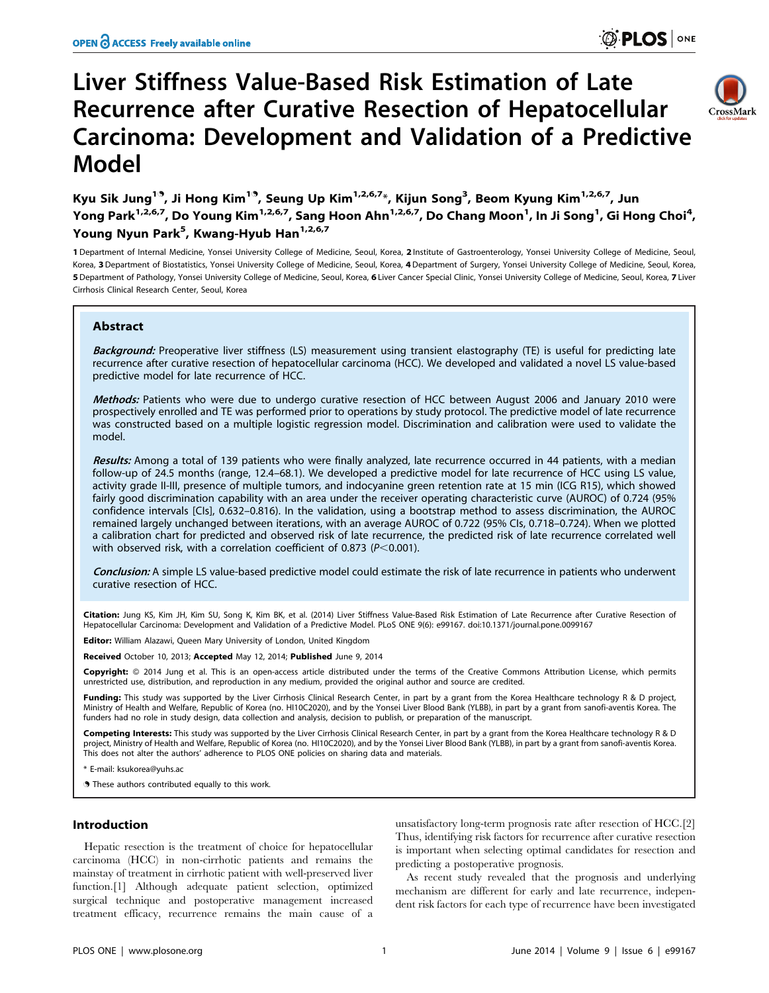# Liver Stiffness Value-Based Risk Estimation of Late Recurrence after Curative Resection of Hepatocellular Carcinoma: Development and Validation of a Predictive Model

Kyu Sik Jung<sup>19</sup>, Ji Hong Kim<sup>19</sup>, Seung Up Kim<sup>1,2,6,7</sup>\*, Kijun Song<sup>3</sup>, Beom Kyung Kim<sup>1,2,6,7</sup>, Jun Yong Park<sup>1,2,6,7</sup>, Do Young Kim<sup>1,2,6,7</sup>, Sang Hoon Ahn<sup>1,2,6,7</sup>, Do Chang Moon<sup>1</sup>, In Ji Song<sup>1</sup>, Gi Hong Choi<sup>4</sup>, Young Nyun Park<sup>5</sup>, Kwang-Hyub Han<sup>1,2,6,7</sup>

1 Department of Internal Medicine, Yonsei University College of Medicine, Seoul, Korea, 2 Institute of Gastroenterology, Yonsei University College of Medicine, Seoul, Korea, 3 Department of Biostatistics, Yonsei University College of Medicine, Seoul, Korea, 4 Department of Surgery, Yonsei University College of Medicine, Seoul, Korea, 5 Department of Pathology, Yonsei University College of Medicine, Seoul, Korea, 6 Liver Cancer Special Clinic, Yonsei University College of Medicine, Seoul, Korea, 7 Liver Cirrhosis Clinical Research Center, Seoul, Korea

# Abstract

Background: Preoperative liver stiffness (LS) measurement using transient elastography (TE) is useful for predicting late recurrence after curative resection of hepatocellular carcinoma (HCC). We developed and validated a novel LS value-based predictive model for late recurrence of HCC.

Methods: Patients who were due to undergo curative resection of HCC between August 2006 and January 2010 were prospectively enrolled and TE was performed prior to operations by study protocol. The predictive model of late recurrence was constructed based on a multiple logistic regression model. Discrimination and calibration were used to validate the model.

Results: Among a total of 139 patients who were finally analyzed, late recurrence occurred in 44 patients, with a median follow-up of 24.5 months (range, 12.4–68.1). We developed a predictive model for late recurrence of HCC using LS value, activity grade II-III, presence of multiple tumors, and indocyanine green retention rate at 15 min (ICG R15), which showed fairly good discrimination capability with an area under the receiver operating characteristic curve (AUROC) of 0.724 (95% confidence intervals [CIs], 0.632–0.816). In the validation, using a bootstrap method to assess discrimination, the AUROC remained largely unchanged between iterations, with an average AUROC of 0.722 (95% CIs, 0.718–0.724). When we plotted a calibration chart for predicted and observed risk of late recurrence, the predicted risk of late recurrence correlated well with observed risk, with a correlation coefficient of 0.873 ( $P<0.001$ ).

Conclusion: A simple LS value-based predictive model could estimate the risk of late recurrence in patients who underwent curative resection of HCC.

Citation: Jung KS, Kim JH, Kim SU, Song K, Kim BK, et al. (2014) Liver Stiffness Value-Based Risk Estimation of Late Recurrence after Curative Resection of Hepatocellular Carcinoma: Development and Validation of a Predictive Model. PLoS ONE 9(6): e99167. doi:10.1371/journal.pone.0099167

Editor: William Alazawi, Queen Mary University of London, United Kingdom

Received October 10, 2013; Accepted May 12, 2014; Published June 9, 2014

Copyright: © 2014 Jung et al. This is an open-access article distributed under the terms of the [Creative Commons Attribution License,](http://creativecommons.org/licenses/by/4.0/) which permits unrestricted use, distribution, and reproduction in any medium, provided the original author and source are credited.

Funding: This study was supported by the Liver Cirrhosis Clinical Research Center, in part by a grant from the Korea Healthcare technology R & D project, Ministry of Health and Welfare, Republic of Korea (no. HI10C2020), and by the Yonsei Liver Blood Bank (YLBB), in part by a grant from sanofi-aventis Korea. The funders had no role in study design, data collection and analysis, decision to publish, or preparation of the manuscript.

Competing Interests: This study was supported by the Liver Cirrhosis Clinical Research Center, in part by a grant from the Korea Healthcare technology R & D project, Ministry of Health and Welfare, Republic of Korea (no. HI10C2020), and by the Yonsei Liver Blood Bank (YLBB), in part by a grant from sanofi-aventis Korea. This does not alter the authors' adherence to PLOS ONE policies on sharing data and materials.

\* E-mail: ksukorea@yuhs.ac

. These authors contributed equally to this work.

## Introduction

Hepatic resection is the treatment of choice for hepatocellular carcinoma (HCC) in non-cirrhotic patients and remains the mainstay of treatment in cirrhotic patient with well-preserved liver function.[1] Although adequate patient selection, optimized surgical technique and postoperative management increased treatment efficacy, recurrence remains the main cause of a

unsatisfactory long-term prognosis rate after resection of HCC.[2] Thus, identifying risk factors for recurrence after curative resection is important when selecting optimal candidates for resection and predicting a postoperative prognosis.

As recent study revealed that the prognosis and underlying mechanism are different for early and late recurrence, independent risk factors for each type of recurrence have been investigated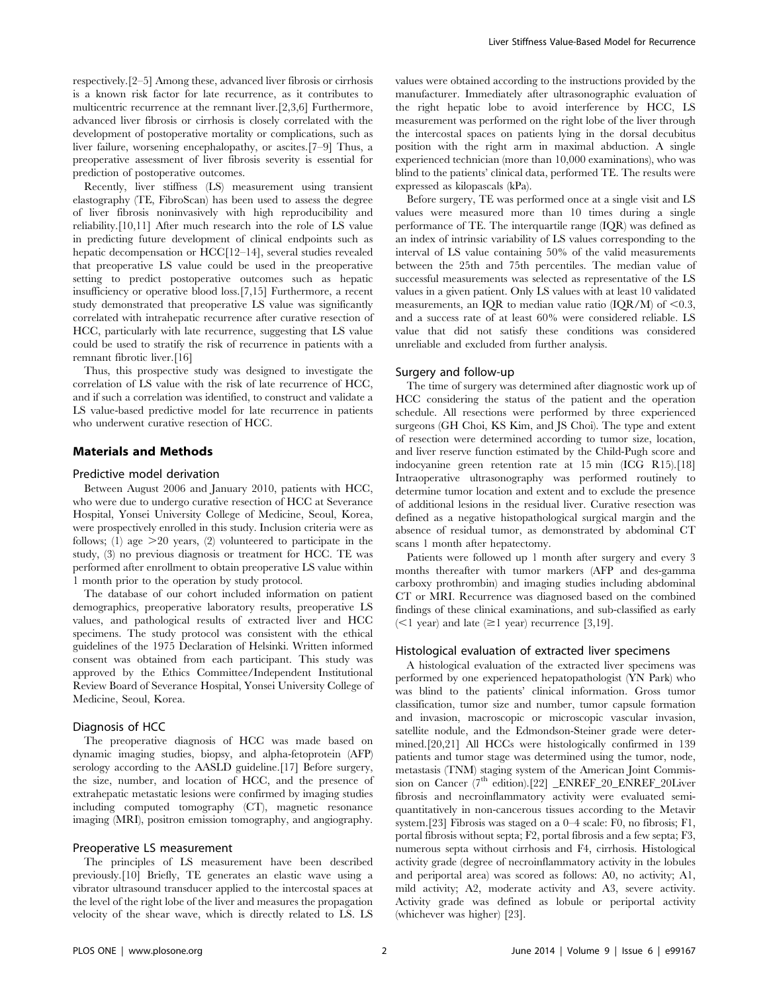respectively.[2–5] Among these, advanced liver fibrosis or cirrhosis is a known risk factor for late recurrence, as it contributes to multicentric recurrence at the remnant liver.[2,3,6] Furthermore, advanced liver fibrosis or cirrhosis is closely correlated with the development of postoperative mortality or complications, such as liver failure, worsening encephalopathy, or ascites.[7–9] Thus, a preoperative assessment of liver fibrosis severity is essential for prediction of postoperative outcomes.

Recently, liver stiffness (LS) measurement using transient elastography (TE, FibroScan) has been used to assess the degree of liver fibrosis noninvasively with high reproducibility and reliability.[10,11] After much research into the role of LS value in predicting future development of clinical endpoints such as hepatic decompensation or HCC[12–14], several studies revealed that preoperative LS value could be used in the preoperative setting to predict postoperative outcomes such as hepatic insufficiency or operative blood loss.[7,15] Furthermore, a recent study demonstrated that preoperative LS value was significantly correlated with intrahepatic recurrence after curative resection of HCC, particularly with late recurrence, suggesting that LS value could be used to stratify the risk of recurrence in patients with a remnant fibrotic liver.[16]

Thus, this prospective study was designed to investigate the correlation of LS value with the risk of late recurrence of HCC, and if such a correlation was identified, to construct and validate a LS value-based predictive model for late recurrence in patients who underwent curative resection of HCC.

# Materials and Methods

## Predictive model derivation

Between August 2006 and January 2010, patients with HCC, who were due to undergo curative resection of HCC at Severance Hospital, Yonsei University College of Medicine, Seoul, Korea, were prospectively enrolled in this study. Inclusion criteria were as follows; (1) age  $>20$  years, (2) volunteered to participate in the study, (3) no previous diagnosis or treatment for HCC. TE was performed after enrollment to obtain preoperative LS value within 1 month prior to the operation by study protocol.

The database of our cohort included information on patient demographics, preoperative laboratory results, preoperative LS values, and pathological results of extracted liver and HCC specimens. The study protocol was consistent with the ethical guidelines of the 1975 Declaration of Helsinki. Written informed consent was obtained from each participant. This study was approved by the Ethics Committee/Independent Institutional Review Board of Severance Hospital, Yonsei University College of Medicine, Seoul, Korea.

#### Diagnosis of HCC

The preoperative diagnosis of HCC was made based on dynamic imaging studies, biopsy, and alpha-fetoprotein (AFP) serology according to the AASLD guideline.<sup>[17]</sup> Before surgery, the size, number, and location of HCC, and the presence of extrahepatic metastatic lesions were confirmed by imaging studies including computed tomography (CT), magnetic resonance imaging (MRI), positron emission tomography, and angiography.

## Preoperative LS measurement

The principles of LS measurement have been described previously.[10] Briefly, TE generates an elastic wave using a vibrator ultrasound transducer applied to the intercostal spaces at the level of the right lobe of the liver and measures the propagation velocity of the shear wave, which is directly related to LS. LS values were obtained according to the instructions provided by the manufacturer. Immediately after ultrasonographic evaluation of the right hepatic lobe to avoid interference by HCC, LS measurement was performed on the right lobe of the liver through the intercostal spaces on patients lying in the dorsal decubitus position with the right arm in maximal abduction. A single experienced technician (more than 10,000 examinations), who was blind to the patients' clinical data, performed TE. The results were expressed as kilopascals (kPa).

Before surgery, TE was performed once at a single visit and LS values were measured more than 10 times during a single performance of TE. The interquartile range (IQR) was defined as an index of intrinsic variability of LS values corresponding to the interval of LS value containing 50% of the valid measurements between the 25th and 75th percentiles. The median value of successful measurements was selected as representative of the LS values in a given patient. Only LS values with at least 10 validated measurements, an IQR to median value ratio (IQR/M) of  $\leq 0.3$ , and a success rate of at least 60% were considered reliable. LS value that did not satisfy these conditions was considered unreliable and excluded from further analysis.

#### Surgery and follow-up

The time of surgery was determined after diagnostic work up of HCC considering the status of the patient and the operation schedule. All resections were performed by three experienced surgeons (GH Choi, KS Kim, and JS Choi). The type and extent of resection were determined according to tumor size, location, and liver reserve function estimated by the Child-Pugh score and indocyanine green retention rate at 15 min (ICG R15).[18] Intraoperative ultrasonography was performed routinely to determine tumor location and extent and to exclude the presence of additional lesions in the residual liver. Curative resection was defined as a negative histopathological surgical margin and the absence of residual tumor, as demonstrated by abdominal CT scans 1 month after hepatectomy.

Patients were followed up 1 month after surgery and every 3 months thereafter with tumor markers (AFP and des-gamma carboxy prothrombin) and imaging studies including abdominal CT or MRI. Recurrence was diagnosed based on the combined findings of these clinical examinations, and sub-classified as early  $($ <1 year) and late  $($ ≥1 year) recurrence [3,19].

#### Histological evaluation of extracted liver specimens

A histological evaluation of the extracted liver specimens was performed by one experienced hepatopathologist (YN Park) who was blind to the patients' clinical information. Gross tumor classification, tumor size and number, tumor capsule formation and invasion, macroscopic or microscopic vascular invasion, satellite nodule, and the Edmondson-Steiner grade were determined.[20,21] All HCCs were histologically confirmed in 139 patients and tumor stage was determined using the tumor, node, metastasis (TNM) staging system of the American Joint Commission on Cancer  $(7^{\text{th}}$  edition).[22] \_ENREF\_20\_ENREF\_20Liver fibrosis and necroinflammatory activity were evaluated semiquantitatively in non-cancerous tissues according to the Metavir system.[23] Fibrosis was staged on a 0–4 scale: F0, no fibrosis; F1, portal fibrosis without septa; F2, portal fibrosis and a few septa; F3, numerous septa without cirrhosis and F4, cirrhosis. Histological activity grade (degree of necroinflammatory activity in the lobules and periportal area) was scored as follows: A0, no activity; A1, mild activity; A2, moderate activity and A3, severe activity. Activity grade was defined as lobule or periportal activity (whichever was higher) [23].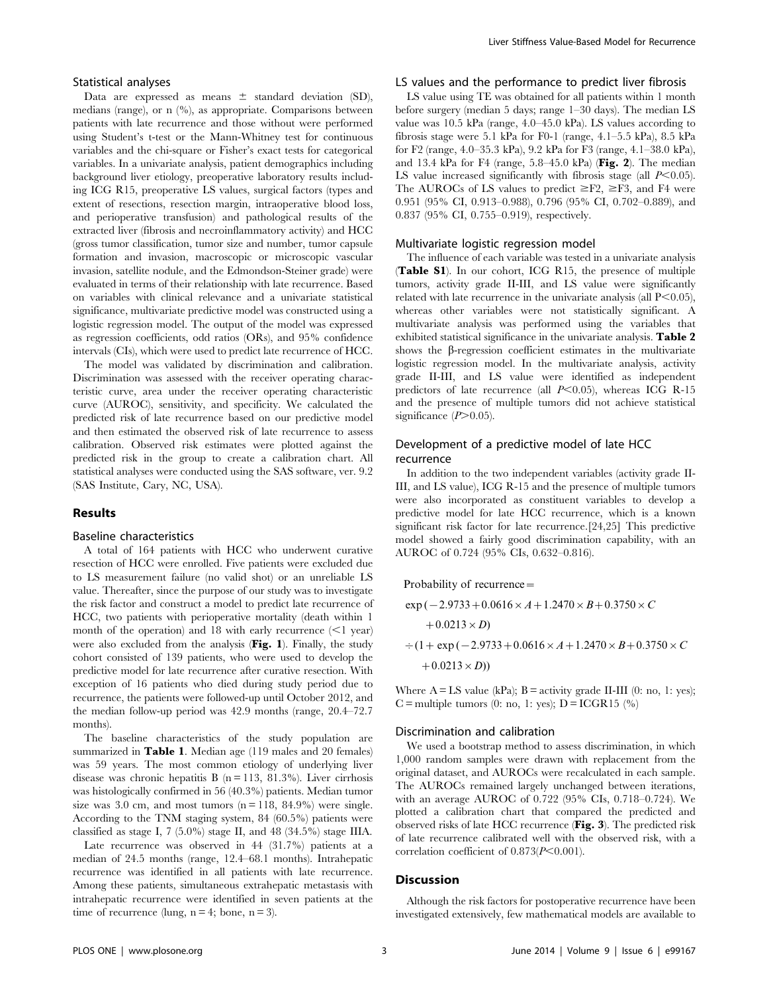#### Statistical analyses

Data are expressed as means  $\pm$  standard deviation (SD), medians (range), or n (%), as appropriate. Comparisons between patients with late recurrence and those without were performed using Student's t-test or the Mann-Whitney test for continuous variables and the chi-square or Fisher's exact tests for categorical variables. In a univariate analysis, patient demographics including background liver etiology, preoperative laboratory results including ICG R15, preoperative LS values, surgical factors (types and extent of resections, resection margin, intraoperative blood loss, and perioperative transfusion) and pathological results of the extracted liver (fibrosis and necroinflammatory activity) and HCC (gross tumor classification, tumor size and number, tumor capsule formation and invasion, macroscopic or microscopic vascular invasion, satellite nodule, and the Edmondson-Steiner grade) were evaluated in terms of their relationship with late recurrence. Based on variables with clinical relevance and a univariate statistical significance, multivariate predictive model was constructed using a logistic regression model. The output of the model was expressed as regression coefficients, odd ratios (ORs), and 95% confidence intervals (CIs), which were used to predict late recurrence of HCC.

The model was validated by discrimination and calibration. Discrimination was assessed with the receiver operating characteristic curve, area under the receiver operating characteristic curve (AUROC), sensitivity, and specificity. We calculated the predicted risk of late recurrence based on our predictive model and then estimated the observed risk of late recurrence to assess calibration. Observed risk estimates were plotted against the predicted risk in the group to create a calibration chart. All statistical analyses were conducted using the SAS software, ver. 9.2 (SAS Institute, Cary, NC, USA).

# Results

#### Baseline characteristics

A total of 164 patients with HCC who underwent curative resection of HCC were enrolled. Five patients were excluded due to LS measurement failure (no valid shot) or an unreliable LS value. Thereafter, since the purpose of our study was to investigate the risk factor and construct a model to predict late recurrence of HCC, two patients with perioperative mortality (death within 1 month of the operation) and 18 with early recurrence  $\leq 1$  year) were also excluded from the analysis (Fig. 1). Finally, the study cohort consisted of 139 patients, who were used to develop the predictive model for late recurrence after curative resection. With exception of 16 patients who died during study period due to recurrence, the patients were followed-up until October 2012, and the median follow-up period was 42.9 months (range, 20.4–72.7 months).

The baseline characteristics of the study population are summarized in **Table 1**. Median age (119 males and 20 females) was 59 years. The most common etiology of underlying liver disease was chronic hepatitis B  $(n = 113, 81.3\%)$ . Liver cirrhosis was histologically confirmed in 56 (40.3%) patients. Median tumor size was 3.0 cm, and most tumors  $(n = 118, 84.9\%)$  were single. According to the TNM staging system, 84 (60.5%) patients were classified as stage I, 7 (5.0%) stage II, and 48 (34.5%) stage IIIA.

Late recurrence was observed in 44 (31.7%) patients at a median of 24.5 months (range, 12.4–68.1 months). Intrahepatic recurrence was identified in all patients with late recurrence. Among these patients, simultaneous extrahepatic metastasis with intrahepatic recurrence were identified in seven patients at the time of recurrence (lung,  $n = 4$ ; bone,  $n = 3$ ).

## LS values and the performance to predict liver fibrosis

LS value using TE was obtained for all patients within 1 month before surgery (median 5 days; range 1–30 days). The median LS value was 10.5 kPa (range, 4.0–45.0 kPa). LS values according to fibrosis stage were 5.1 kPa for F0-1 (range, 4.1–5.5 kPa), 8.5 kPa for F2 (range, 4.0–35.3 kPa), 9.2 kPa for F3 (range, 4.1–38.0 kPa), and 13.4 kPa for F4 (range,  $5.8-45.0$  kPa) (Fig. 2). The median LS value increased significantly with fibrosis stage (all  $P<0.05$ ). The AUROCs of LS values to predict  $\geq$ F2,  $\geq$ F3, and F4 were 0.951 (95% CI, 0.913–0.988), 0.796 (95% CI, 0.702–0.889), and 0.837 (95% CI, 0.755–0.919), respectively.

#### Multivariate logistic regression model

The influence of each variable was tested in a univariate analysis (Table S1). In our cohort, ICG R15, the presence of multiple tumors, activity grade II-III, and LS value were significantly related with late recurrence in the univariate analysis (all  $P<0.05$ ), whereas other variables were not statistically significant. A multivariate analysis was performed using the variables that exhibited statistical significance in the univariate analysis. Table 2 shows the  $\beta$ -regression coefficient estimates in the multivariate logistic regression model. In the multivariate analysis, activity grade II-III, and LS value were identified as independent predictors of late recurrence (all  $P<0.05$ ), whereas ICG R-15 and the presence of multiple tumors did not achieve statistical significance  $(P>0.05)$ .

# Development of a predictive model of late HCC recurrence

In addition to the two independent variables (activity grade II-III, and LS value), ICG R-15 and the presence of multiple tumors were also incorporated as constituent variables to develop a predictive model for late HCC recurrence, which is a known significant risk factor for late recurrence.[24,25] This predictive model showed a fairly good discrimination capability, with an AUROC of 0.724 (95% CIs, 0.632–0.816).

#### Probability of recurrence $=$

$$
\exp(-2.9733 + 0.0616 \times A + 1.2470 \times B + 0.3750 \times C + 0.0213 \times D)
$$
  
+(1 + exp(-2.9733 + 0.0616 \times A + 1.2470 \times B + 0.3750 \times C   
+ 0.0213 \times D))

Where  $A = LS$  value (kPa);  $B =$  activity grade II-III (0: no, 1: yes);  $C =$  multiple tumors (0: no, 1: yes);  $D = ICGR15$  (%)

## Discrimination and calibration

We used a bootstrap method to assess discrimination, in which 1,000 random samples were drawn with replacement from the original dataset, and AUROCs were recalculated in each sample. The AUROCs remained largely unchanged between iterations, with an average AUROC of 0.722 (95% CIs, 0.718–0.724). We plotted a calibration chart that compared the predicted and observed risks of late HCC recurrence (Fig. 3). The predicted risk of late recurrence calibrated well with the observed risk, with a correlation coefficient of  $0.873(P<0.001)$ .

#### **Discussion**

Although the risk factors for postoperative recurrence have been investigated extensively, few mathematical models are available to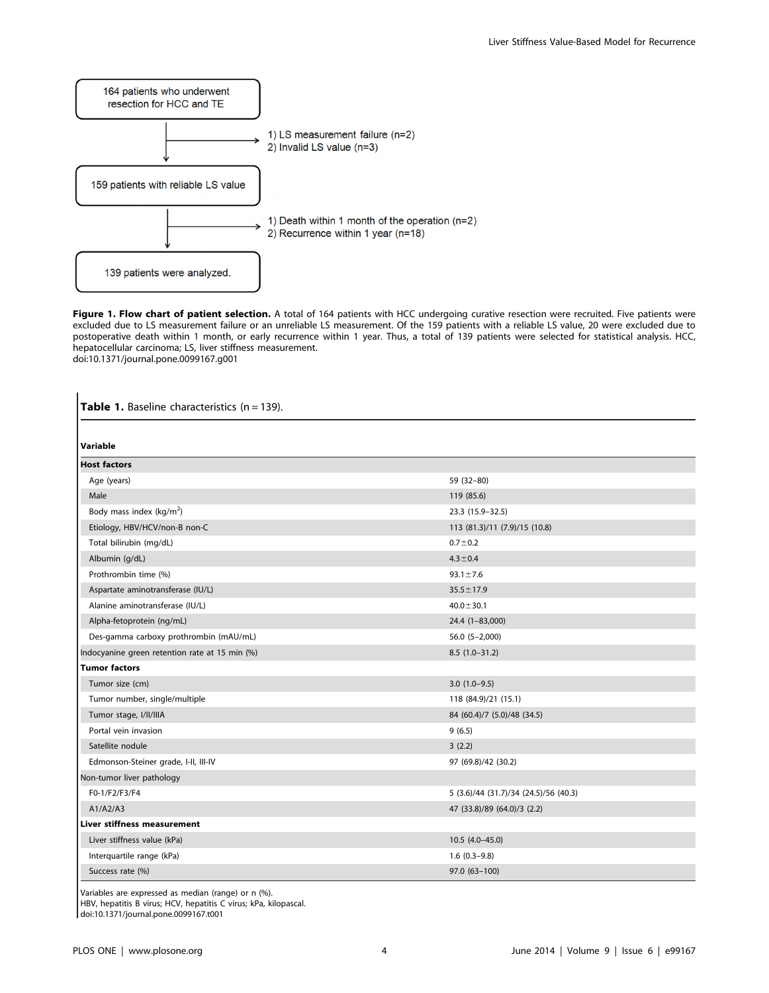

Figure 1. Flow chart of patient selection. A total of 164 patients with HCC undergoing curative resection were recruited. Five patients were excluded due to LS measurement failure or an unreliable LS measurement. Of the 159 patients with a reliable LS value, 20 were excluded due to postoperative death within 1 month, or early recurrence within 1 year. Thus, a total of 139 patients were selected for statistical analysis. HCC, hepatocellular carcinoma; LS, liver stiffness measurement. doi:10.1371/journal.pone.0099167.g001

| <b>Table 1.</b> Baseline characteristics ( $n = 139$ ). |                                       |
|---------------------------------------------------------|---------------------------------------|
|                                                         |                                       |
| Variable                                                |                                       |
| <b>Host factors</b>                                     |                                       |
| Age (years)                                             | 59 (32-80)                            |
| Male                                                    | 119 (85.6)                            |
| Body mass index ( $kg/m2$ )                             | 23.3 (15.9-32.5)                      |
| Etiology, HBV/HCV/non-B non-C                           | 113 (81.3)/11 (7.9)/15 (10.8)         |
| Total bilirubin (mg/dL)                                 | $0.7 + 0.2$                           |
| Albumin (g/dL)                                          | $4.3 \pm 0.4$                         |
| Prothrombin time (%)                                    | $93.1 \pm 7.6$                        |
| Aspartate aminotransferase (IU/L)                       | $35.5 \pm 17.9$                       |
| Alanine aminotransferase (IU/L)                         | $40.0 \pm 30.1$                       |
| Alpha-fetoprotein (ng/mL)                               | 24.4 (1-83,000)                       |
| Des-gamma carboxy prothrombin (mAU/mL)                  | $56.0$ $(5-2,000)$                    |
| Indocyanine green retention rate at 15 min (%)          | $8.5(1.0-31.2)$                       |
| <b>Tumor factors</b>                                    |                                       |
| Tumor size (cm)                                         | $3.0(1.0-9.5)$                        |
| Tumor number, single/multiple                           | 118 (84.9)/21 (15.1)                  |
| Tumor stage, I/II/IIIA                                  | 84 (60.4)/7 (5.0)/48 (34.5)           |
| Portal vein invasion                                    | 9(6.5)                                |
| Satellite nodule                                        | 3(2.2)                                |
| Edmonson-Steiner grade, I-II, III-IV                    | 97 (69.8)/42 (30.2)                   |
| Non-tumor liver pathology                               |                                       |
| F0-1/F2/F3/F4                                           | 5 (3.6)/44 (31.7)/34 (24.5)/56 (40.3) |
| A1/A2/A3                                                | 47 (33.8)/89 (64.0)/3 (2.2)           |
| <b>Liver stiffness measurement</b>                      |                                       |
| Liver stiffness value (kPa)                             | $10.5(4.0-45.0)$                      |
| Interquartile range (kPa)                               | $1.6(0.3-9.8)$                        |
| Success rate (%)                                        | 97.0 (63-100)                         |

Variables are expressed as median (range) or n (%).

HBV, hepatitis B virus; HCV, hepatitis C virus; kPa, kilopascal.

doi:10.1371/journal.pone.0099167.t001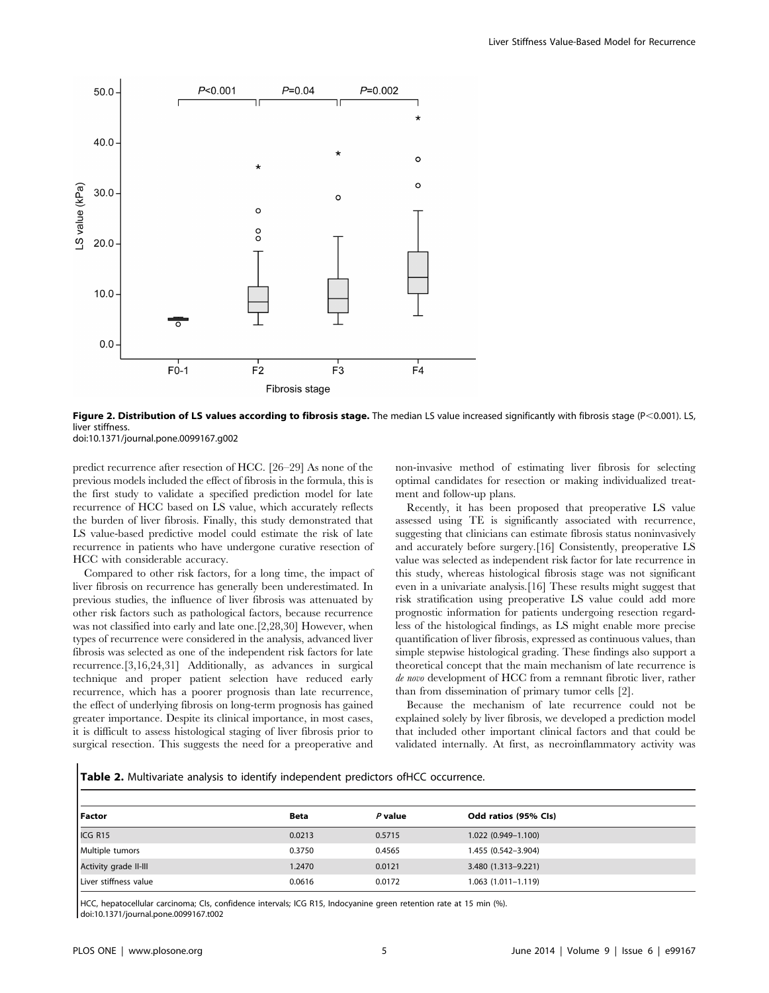

Figure 2. Distribution of LS values according to fibrosis stage. The median LS value increased significantly with fibrosis stage (P<0.001). LS, liver stiffness.

doi:10.1371/journal.pone.0099167.g002

predict recurrence after resection of HCC. [26–29] As none of the previous models included the effect of fibrosis in the formula, this is the first study to validate a specified prediction model for late recurrence of HCC based on LS value, which accurately reflects the burden of liver fibrosis. Finally, this study demonstrated that LS value-based predictive model could estimate the risk of late recurrence in patients who have undergone curative resection of HCC with considerable accuracy.

Compared to other risk factors, for a long time, the impact of liver fibrosis on recurrence has generally been underestimated. In previous studies, the influence of liver fibrosis was attenuated by other risk factors such as pathological factors, because recurrence was not classified into early and late one.[2,28,30] However, when types of recurrence were considered in the analysis, advanced liver fibrosis was selected as one of the independent risk factors for late recurrence.[3,16,24,31] Additionally, as advances in surgical technique and proper patient selection have reduced early recurrence, which has a poorer prognosis than late recurrence, the effect of underlying fibrosis on long-term prognosis has gained greater importance. Despite its clinical importance, in most cases, it is difficult to assess histological staging of liver fibrosis prior to surgical resection. This suggests the need for a preoperative and non-invasive method of estimating liver fibrosis for selecting optimal candidates for resection or making individualized treatment and follow-up plans.

Recently, it has been proposed that preoperative LS value assessed using TE is significantly associated with recurrence, suggesting that clinicians can estimate fibrosis status noninvasively and accurately before surgery.[16] Consistently, preoperative LS value was selected as independent risk factor for late recurrence in this study, whereas histological fibrosis stage was not significant even in a univariate analysis.[16] These results might suggest that risk stratification using preoperative LS value could add more prognostic information for patients undergoing resection regardless of the histological findings, as LS might enable more precise quantification of liver fibrosis, expressed as continuous values, than simple stepwise histological grading. These findings also support a theoretical concept that the main mechanism of late recurrence is de novo development of HCC from a remnant fibrotic liver, rather than from dissemination of primary tumor cells [2].

Because the mechanism of late recurrence could not be explained solely by liver fibrosis, we developed a prediction model that included other important clinical factors and that could be validated internally. At first, as necroinflammatory activity was

Table 2. Multivariate analysis to identify independent predictors ofHCC occurrence.

| Factor                | <b>Beta</b> | P value | Odd ratios (95% CIs) |
|-----------------------|-------------|---------|----------------------|
| ICG R15               | 0.0213      | 0.5715  | 1.022 (0.949-1.100)  |
| Multiple tumors       | 0.3750      | 0.4565  | 1.455 (0.542-3.904)  |
| Activity grade II-III | 1.2470      | 0.0121  | 3.480 (1.313-9.221)  |
| Liver stiffness value | 0.0616      | 0.0172  | $1.063(1.011-1.119)$ |

HCC, hepatocellular carcinoma; CIs, confidence intervals; ICG R15, Indocyanine green retention rate at 15 min (%). doi:10.1371/journal.pone.0099167.t002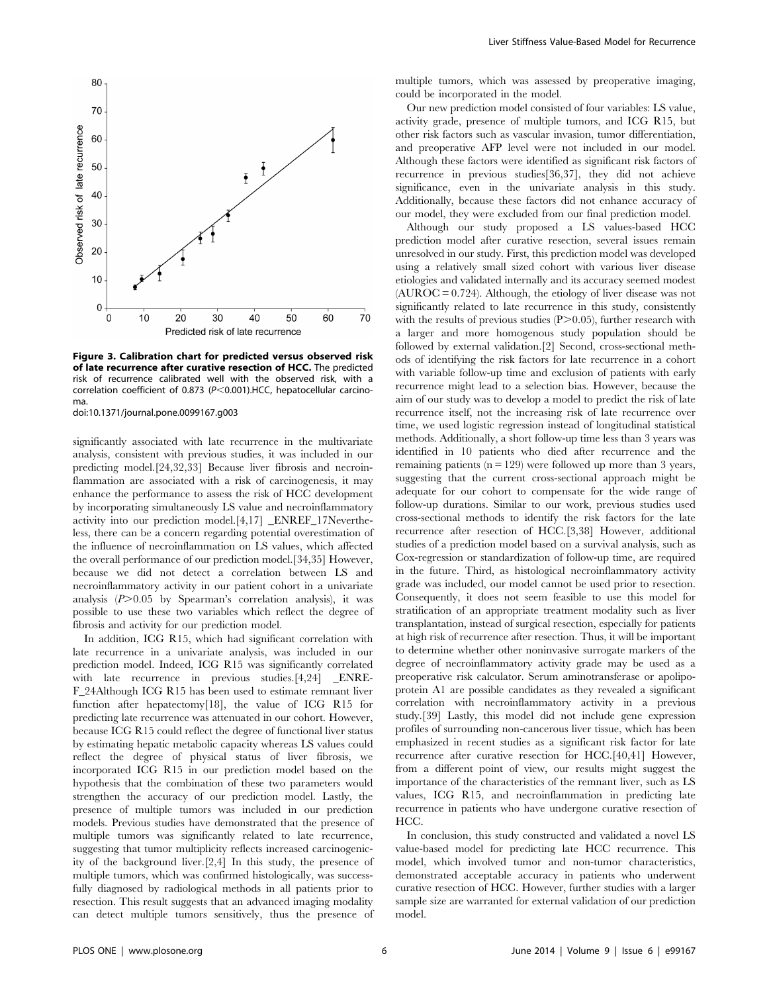

Figure 3. Calibration chart for predicted versus observed risk of late recurrence after curative resection of HCC. The predicted risk of recurrence calibrated well with the observed risk, with a correlation coefficient of 0.873 ( $P$ <0.001).HCC, hepatocellular carcinoma.

doi:10.1371/journal.pone.0099167.g003

significantly associated with late recurrence in the multivariate analysis, consistent with previous studies, it was included in our predicting model.[24,32,33] Because liver fibrosis and necroinflammation are associated with a risk of carcinogenesis, it may enhance the performance to assess the risk of HCC development by incorporating simultaneously LS value and necroinflammatory activity into our prediction model.[4,17] \_ENREF\_17Nevertheless, there can be a concern regarding potential overestimation of the influence of necroinflammation on LS values, which affected the overall performance of our prediction model.[34,35] However, because we did not detect a correlation between LS and necroinflammatory activity in our patient cohort in a univariate analysis  $(P>0.05$  by Spearman's correlation analysis), it was possible to use these two variables which reflect the degree of fibrosis and activity for our prediction model.

In addition, ICG R15, which had significant correlation with late recurrence in a univariate analysis, was included in our prediction model. Indeed, ICG R15 was significantly correlated with late recurrence in previous studies.[4,24] \_ENRE-F\_24Although ICG R15 has been used to estimate remnant liver function after hepatectomy[18], the value of ICG R15 for predicting late recurrence was attenuated in our cohort. However, because ICG R15 could reflect the degree of functional liver status by estimating hepatic metabolic capacity whereas LS values could reflect the degree of physical status of liver fibrosis, we incorporated ICG R15 in our prediction model based on the hypothesis that the combination of these two parameters would strengthen the accuracy of our prediction model. Lastly, the presence of multiple tumors was included in our prediction models. Previous studies have demonstrated that the presence of multiple tumors was significantly related to late recurrence, suggesting that tumor multiplicity reflects increased carcinogenicity of the background liver.[2,4] In this study, the presence of multiple tumors, which was confirmed histologically, was successfully diagnosed by radiological methods in all patients prior to resection. This result suggests that an advanced imaging modality can detect multiple tumors sensitively, thus the presence of multiple tumors, which was assessed by preoperative imaging, could be incorporated in the model.

Our new prediction model consisted of four variables: LS value, activity grade, presence of multiple tumors, and ICG R15, but other risk factors such as vascular invasion, tumor differentiation, and preoperative AFP level were not included in our model. Although these factors were identified as significant risk factors of recurrence in previous studies[36,37], they did not achieve significance, even in the univariate analysis in this study. Additionally, because these factors did not enhance accuracy of our model, they were excluded from our final prediction model.

Although our study proposed a LS values-based HCC prediction model after curative resection, several issues remain unresolved in our study. First, this prediction model was developed using a relatively small sized cohort with various liver disease etiologies and validated internally and its accuracy seemed modest  $(AUROC = 0.724)$ . Although, the etiology of liver disease was not significantly related to late recurrence in this study, consistently with the results of previous studies  $(P>0.05)$ , further research with a larger and more homogenous study population should be followed by external validation.[2] Second, cross-sectional methods of identifying the risk factors for late recurrence in a cohort with variable follow-up time and exclusion of patients with early recurrence might lead to a selection bias. However, because the aim of our study was to develop a model to predict the risk of late recurrence itself, not the increasing risk of late recurrence over time, we used logistic regression instead of longitudinal statistical methods. Additionally, a short follow-up time less than 3 years was identified in 10 patients who died after recurrence and the remaining patients ( $n = 129$ ) were followed up more than 3 years, suggesting that the current cross-sectional approach might be adequate for our cohort to compensate for the wide range of follow-up durations. Similar to our work, previous studies used cross-sectional methods to identify the risk factors for the late recurrence after resection of HCC.[3,38] However, additional studies of a prediction model based on a survival analysis, such as Cox-regression or standardization of follow-up time, are required in the future. Third, as histological necroinflammatory activity grade was included, our model cannot be used prior to resection. Consequently, it does not seem feasible to use this model for stratification of an appropriate treatment modality such as liver transplantation, instead of surgical resection, especially for patients at high risk of recurrence after resection. Thus, it will be important to determine whether other noninvasive surrogate markers of the degree of necroinflammatory activity grade may be used as a preoperative risk calculator. Serum aminotransferase or apolipoprotein A1 are possible candidates as they revealed a significant correlation with necroinflammatory activity in a previous study.[39] Lastly, this model did not include gene expression profiles of surrounding non-cancerous liver tissue, which has been emphasized in recent studies as a significant risk factor for late recurrence after curative resection for HCC.[40,41] However, from a different point of view, our results might suggest the importance of the characteristics of the remnant liver, such as LS values, ICG R15, and necroinflammation in predicting late recurrence in patients who have undergone curative resection of HCC.

In conclusion, this study constructed and validated a novel LS value-based model for predicting late HCC recurrence. This model, which involved tumor and non-tumor characteristics, demonstrated acceptable accuracy in patients who underwent curative resection of HCC. However, further studies with a larger sample size are warranted for external validation of our prediction model.